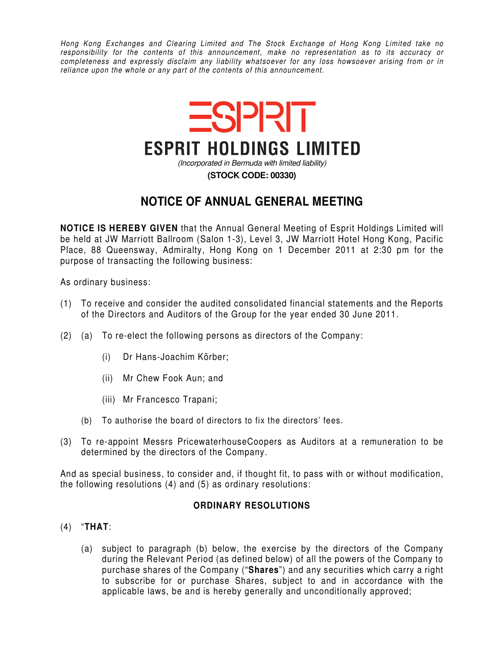Hong Kong Exchanges and Clearing Limited and The Stock Exchange of Hong Kong Limited take no responsibility for the contents of this announcement, make no representation as to its accuracy or completeness and expressly disclaim any liability whatsoever for any loss howsoever arising from or in reliance upon the whole or any part of the contents of this announcement.



## **NOTICE OF ANNUAL GENERAL MEETING**

**NOTICE IS HEREBY GIVEN** that the Annual General Meeting of Esprit Holdings Limited will be held at JW Marriott Ballroom (Salon 1-3), Level 3, JW Marriott Hotel Hong Kong, Pacific Place, 88 Queensway, Admiralty, Hong Kong on 1 December 2011 at 2:30 pm for the purpose of transacting the following business:

As ordinary business:

- (1) To receive and consider the audited consolidated financial statements and the Reports of the Directors and Auditors of the Group for the year ended 30 June 2011.
- (2) (a) To re-elect the following persons as directors of the Company:
	- (i) Dr Hans-Joachim Körber;
	- (ii) Mr Chew Fook Aun; and
	- (iii) Mr Francesco Trapani;
	- (b) To authorise the board of directors to fix the directors' fees.
- (3) To re-appoint Messrs PricewaterhouseCoopers as Auditors at a remuneration to be determined by the directors of the Company.

And as special business, to consider and, if thought fit, to pass with or without modification, the following resolutions (4) and (5) as ordinary resolutions:

## **ORDINARY RESOLUTIONS**

- (4) "**THAT**:
	- (a) subject to paragraph (b) below, the exercise by the directors of the Company during the Relevant Period (as defined below) of all the powers of the Company to purchase shares of the Company ("**Shares**") and any securities which carry a right to subscribe for or purchase Shares, subject to and in accordance with the applicable laws, be and is hereby generally and unconditionally approved;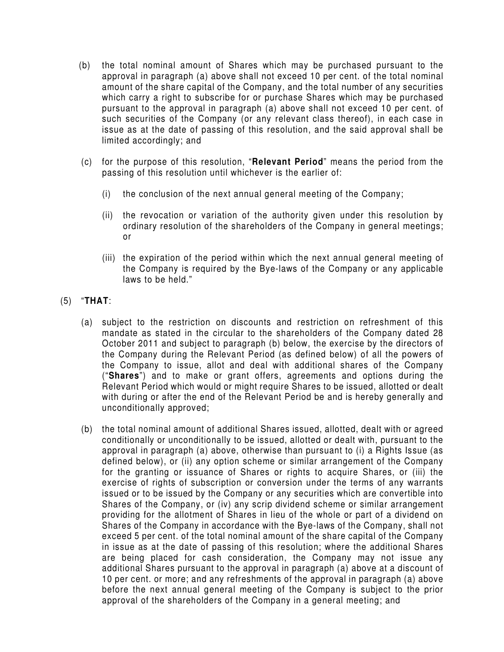- (b) the total nominal amount of Shares which may be purchased pursuant to the approval in paragraph (a) above shall not exceed 10 per cent. of the total nominal amount of the share capital of the Company, and the total number of any securities which carry a right to subscribe for or purchase Shares which may be purchased pursuant to the approval in paragraph (a) above shall not exceed 10 per cent. of such securities of the Company (or any relevant class thereof), in each case in issue as at the date of passing of this resolution, and the said approval shall be limited accordingly; and
- (c) for the purpose of this resolution, "**Relevant Period**" means the period from the passing of this resolution until whichever is the earlier of:
	- (i) the conclusion of the next annual general meeting of the Company;
	- (ii) the revocation or variation of the authority given under this resolution by ordinary resolution of the shareholders of the Company in general meetings; or
	- (iii) the expiration of the period within which the next annual general meeting of the Company is required by the Bye-laws of the Company or any applicable laws to be held."
- (5) "**THAT**:
	- (a) subject to the restriction on discounts and restriction on refreshment of this mandate as stated in the circular to the shareholders of the Company dated 28 October 2011 and subject to paragraph (b) below, the exercise by the directors of the Company during the Relevant Period (as defined below) of all the powers of the Company to issue, allot and deal with additional shares of the Company ("**Shares**") and to make or grant offers, agreements and options during the Relevant Period which would or might require Shares to be issued, allotted or dealt with during or after the end of the Relevant Period be and is hereby generally and unconditionally approved;
	- (b) the total nominal amount of additional Shares issued, allotted, dealt with or agreed conditionally or unconditionally to be issued, allotted or dealt with, pursuant to the approval in paragraph (a) above, otherwise than pursuant to (i) a Rights Issue (as defined below), or (ii) any option scheme or similar arrangement of the Company for the granting or issuance of Shares or rights to acquire Shares, or (iii) the exercise of rights of subscription or conversion under the terms of any warrants issued or to be issued by the Company or any securities which are convertible into Shares of the Company, or (iv) any scrip dividend scheme or similar arrangement providing for the allotment of Shares in lieu of the whole or part of a dividend on Shares of the Company in accordance with the Bye-laws of the Company, shall not exceed 5 per cent. of the total nominal amount of the share capital of the Company in issue as at the date of passing of this resolution; where the additional Shares are being placed for cash consideration, the Company may not issue any additional Shares pursuant to the approval in paragraph (a) above at a discount of 10 per cent. or more; and any refreshments of the approval in paragraph (a) above before the next annual general meeting of the Company is subject to the prior approval of the shareholders of the Company in a general meeting; and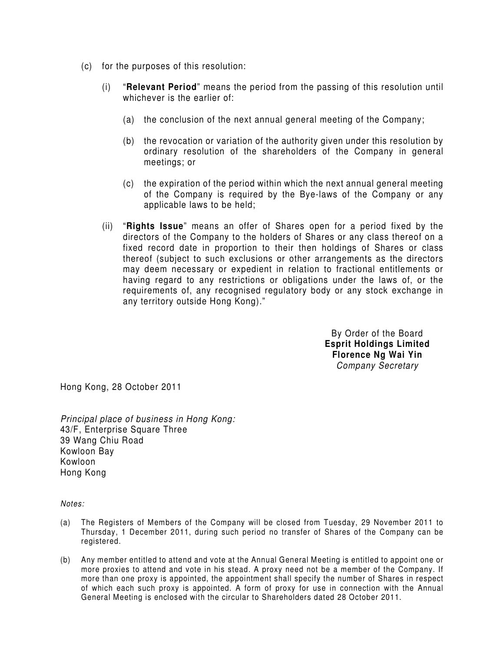- (c) for the purposes of this resolution:
	- (i) "**Relevant Period**" means the period from the passing of this resolution until whichever is the earlier of:
		- (a) the conclusion of the next annual general meeting of the Company;
		- (b) the revocation or variation of the authority given under this resolution by ordinary resolution of the shareholders of the Company in general meetings; or
		- (c) the expiration of the period within which the next annual general meeting of the Company is required by the Bye-laws of the Company or any applicable laws to be held;
	- (ii) "**Rights Issue**" means an offer of Shares open for a period fixed by the directors of the Company to the holders of Shares or any class thereof on a fixed record date in proportion to their then holdings of Shares or class thereof (subject to such exclusions or other arrangements as the directors may deem necessary or expedient in relation to fractional entitlements or having regard to any restrictions or obligations under the laws of, or the requirements of, any recognised regulatory body or any stock exchange in any territory outside Hong Kong)."

By Order of the Board **Esprit Holdings Limited Florence Ng Wai Yin**  Company Secretary

Hong Kong, 28 October 2011

Principal place of business in Hong Kong: 43/F, Enterprise Square Three 39 Wang Chiu Road Kowloon Bay Kowloon Hong Kong

Notes:

- (a) The Registers of Members of the Company will be closed from Tuesday, 29 November 2011 to Thursday, 1 December 2011, during such period no transfer of Shares of the Company can be registered.
- (b) Any member entitled to attend and vote at the Annual General Meeting is entitled to appoint one or more proxies to attend and vote in his stead. A proxy need not be a member of the Company. If more than one proxy is appointed, the appointment shall specify the number of Shares in respect of which each such proxy is appointed. A form of proxy for use in connection with the Annual General Meeting is enclosed with the circular to Shareholders dated 28 October 2011.